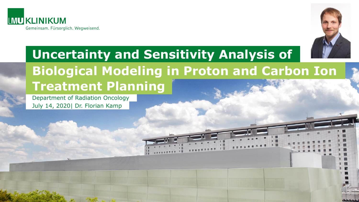



# **Uncertainty and Sensitivity Analysis of Biological Modeling in Proton and Carbon Ion Treatment Planning**

Department of Radiation Oncology July 14, 2020| Dr. Florian Kamp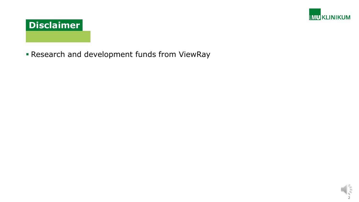



**Research and development funds from ViewRay** 

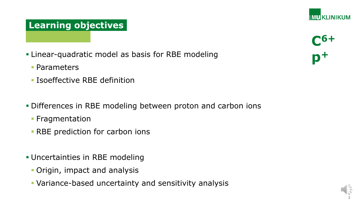# **Learning objectives**

- **-Linear-quadratic model as basis for RBE modeling** 
	- Parameters
	- **In Isoeffective RBE definition**
- Differences in RBE modeling between proton and carbon ions
	- **Fragmentation**
	- **RBE prediction for carbon ions**
- Uncertainties in RBE modeling
	- Origin, impact and analysis
	- Variance-based uncertainty and sensitivity analysis



**IMU KLINIKUM** 

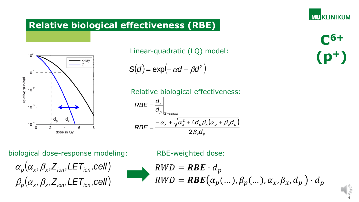# **Relative biological effectiveness (RBE)**



Linear-quadratic (LQ) model:

$$
S(d) = \exp(-\alpha d - \beta d^2)
$$

Relative biological effectiveness:

$$
RBE = \frac{d_x}{d_p}\Big|_{S=const}
$$
  

$$
RBE = \frac{-\alpha_x + \sqrt{\alpha_x^2 + 4d_p\beta_x(\alpha_p + \beta_p d_p)}}{2\beta_x d_p}
$$

biological dose-response modeling:

$$
\alpha_p(\alpha_x, \beta_x, Z_{ion}, \text{LET}_{ion}, \text{cell})
$$

$$
\beta_p(\alpha_x, \beta_x, Z_{ion}, \text{LET}_{ion}, \text{cell})
$$

RBE-weighted dose:

$$
RWD = RBE \cdot d_p
$$
  
\n
$$
RWD = RBE(\alpha_p(...), \beta_p(...), \alpha_x, \beta_x, d_p) \cdot d_p
$$

**LMU KLINIKUM** 

**C6+ (p<sup>+</sup>)**

4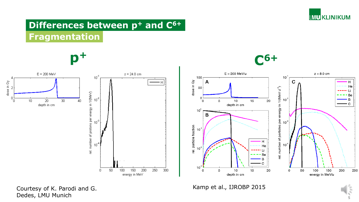

# **Differences between p<sup>+</sup> and C6+ Fragmentation**





300



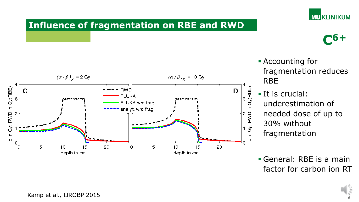

**C6+**

### **Influence of fragmentation on RBE and RWD**



- Accounting for fragmentation reduces RBE
- **It is crucial:** underestimation of needed dose of up to 30% without fragmentation
- General: RBE is a main factor for carbon ion RT



Kamp et al., IJROBP 2015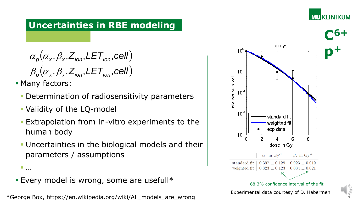## **Uncertainties in RBE modeling**

$$
\alpha_p(\alpha_x, \beta_x, Z_{\text{ion}}, \text{LET}_{\text{ion}}, \text{cell})
$$

$$
\beta_p(\alpha_x, \beta_x, Z_{\text{ion}}, \text{LET}_{\text{ion}}, \text{cell})
$$

Many factors:

- **Determination of radiosensitivity parameters**
- Validity of the LQ-model
- Extrapolation from in-vitro experiments to the human body
- Uncertainties in the biological models and their parameters / assumptions
- …
- **Every model is wrong, some are usefull\***

\*George Box, https://en.wikipedia.org/wiki/All\_models\_are\_wrong



7

**IMU KLINIKUM**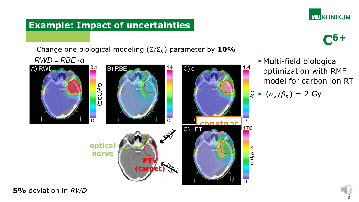

### **Example: Impact of uncertainties**

Change one biological modeling  $(\Sigma/\Sigma_X)$  parameter by 10%  $RWD = RBE \cdot d$ 



**C6+**

 Multi-field biological optimization with RMF model for carbon ion RT

$$
\mathbb{P} \cdot (\alpha_X/\beta_X) = 2 \text{ Gy}
$$

**5%** deviation in *RWD*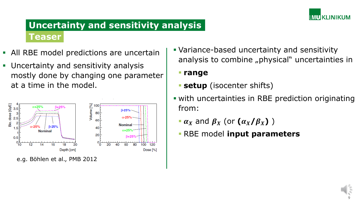

# **Uncertainty and sensitivity analysis Teaser**

- All RBE model predictions are uncertain
- **Uncertainty and sensitivity analysis** mostly done by changing one parameter at a time in the model.



 Variance-based uncertainty and sensitivity analysis to combine "physical" uncertainties in

**range**

- **setup** (isocenter shifts)
- with uncertainties in RBE prediction originating from:
	- $\boldsymbol{\alpha}_x$  and  $\boldsymbol{\beta}_x$  (or  $(\boldsymbol{\alpha}_x/\boldsymbol{\beta}_x)$ )
	- RBE model **input parameters**

$$
\sqrt{\frac{2}{5}}
$$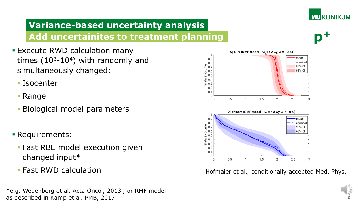

# **Variance-based uncertainty analysis Add uncertainites to treatment planning**

- **Execute RWD calculation many** times  $(10^3 - 10^4)$  with randomly and simultaneously changed:
	- Isocenter
	- Range
	- Biological model parameters
- Requirements:
	- **Fast RBE model execution given** changed input\*
	- **Fast RWD calculation**

\*e.g. Wedenberg et al. Acta Oncol, 2013 , or RMF model as described in Kamp et al. PMB, 2017



Hofmaier et al., conditionally accepted Med. Phys.

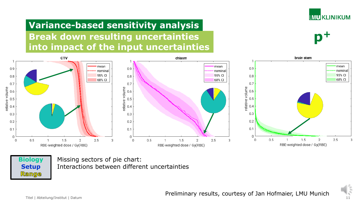

**p+**

# **Variance-based sensitivity analysis Break down resulting uncertainties into impact of the input uncertainties**





Missing sectors of pie chart: Interactions between different uncertainties



Titel | Abteilung/Institut | Datum 11 Preliminary results, courtesy of Jan Hofmaier, LMU Munich